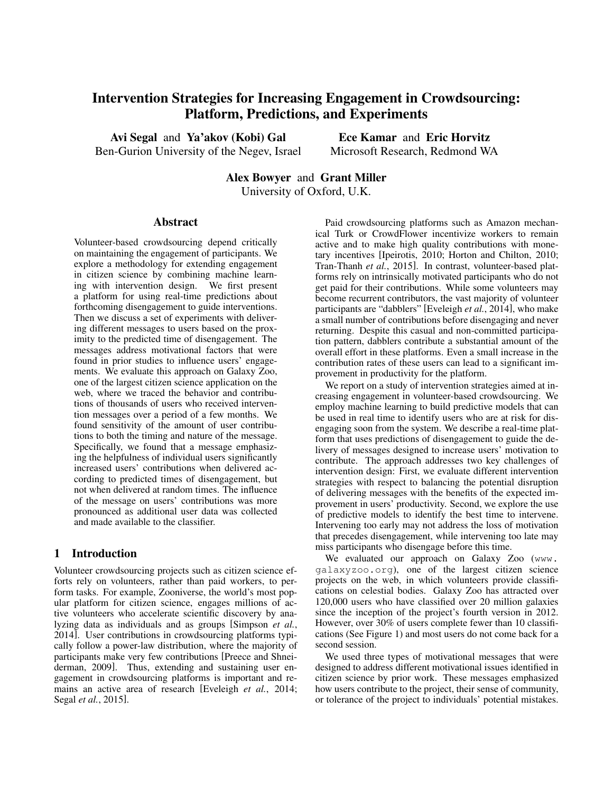# Intervention Strategies for Increasing Engagement in Crowdsourcing: Platform, Predictions, and Experiments

Avi Segal and Ya'akov (Kobi) Gal Ben-Gurion University of the Negev, Israel

Ece Kamar and Eric Horvitz Microsoft Research, Redmond WA

Alex Bowyer and Grant Miller University of Oxford, U.K.

#### Abstract

Volunteer-based crowdsourcing depend critically on maintaining the engagement of participants. We explore a methodology for extending engagement in citizen science by combining machine learning with intervention design. We first present a platform for using real-time predictions about forthcoming disengagement to guide interventions. Then we discuss a set of experiments with delivering different messages to users based on the proximity to the predicted time of disengagement. The messages address motivational factors that were found in prior studies to influence users' engagements. We evaluate this approach on Galaxy Zoo, one of the largest citizen science application on the web, where we traced the behavior and contributions of thousands of users who received intervention messages over a period of a few months. We found sensitivity of the amount of user contributions to both the timing and nature of the message. Specifically, we found that a message emphasizing the helpfulness of individual users significantly increased users' contributions when delivered according to predicted times of disengagement, but not when delivered at random times. The influence of the message on users' contributions was more pronounced as additional user data was collected and made available to the classifier.

#### 1 Introduction

Volunteer crowdsourcing projects such as citizen science efforts rely on volunteers, rather than paid workers, to perform tasks. For example, Zooniverse, the world's most popular platform for citizen science, engages millions of active volunteers who accelerate scientific discovery by analyzing data as individuals and as groups [Simpson *et al.*, 2014]. User contributions in crowdsourcing platforms typically follow a power-law distribution, where the majority of participants make very few contributions [Preece and Shneiderman, 2009]. Thus, extending and sustaining user engagement in crowdsourcing platforms is important and remains an active area of research [Eveleigh *et al.*, 2014; Segal *et al.*, 2015].

Paid crowdsourcing platforms such as Amazon mechanical Turk or CrowdFlower incentivize workers to remain active and to make high quality contributions with monetary incentives [Ipeirotis, 2010; Horton and Chilton, 2010; Tran-Thanh *et al.*, 2015]. In contrast, volunteer-based platforms rely on intrinsically motivated participants who do not get paid for their contributions. While some volunteers may become recurrent contributors, the vast majority of volunteer participants are "dabblers" [Eveleigh *et al.*, 2014], who make a small number of contributions before disengaging and never returning. Despite this casual and non-committed participation pattern, dabblers contribute a substantial amount of the overall effort in these platforms. Even a small increase in the contribution rates of these users can lead to a significant improvement in productivity for the platform.

We report on a study of intervention strategies aimed at increasing engagement in volunteer-based crowdsourcing. We employ machine learning to build predictive models that can be used in real time to identify users who are at risk for disengaging soon from the system. We describe a real-time platform that uses predictions of disengagement to guide the delivery of messages designed to increase users' motivation to contribute. The approach addresses two key challenges of intervention design: First, we evaluate different intervention strategies with respect to balancing the potential disruption of delivering messages with the benefits of the expected improvement in users' productivity. Second, we explore the use of predictive models to identify the best time to intervene. Intervening too early may not address the loss of motivation that precedes disengagement, while intervening too late may miss participants who disengage before this time.

We evaluated our approach on Galaxy Zoo (www. galaxyzoo.org), one of the largest citizen science projects on the web, in which volunteers provide classifications on celestial bodies. Galaxy Zoo has attracted over 120,000 users who have classified over 20 million galaxies since the inception of the project's fourth version in 2012. However, over 30% of users complete fewer than 10 classifications (See Figure 1) and most users do not come back for a second session.

We used three types of motivational messages that were designed to address different motivational issues identified in citizen science by prior work. These messages emphasized how users contribute to the project, their sense of community, or tolerance of the project to individuals' potential mistakes.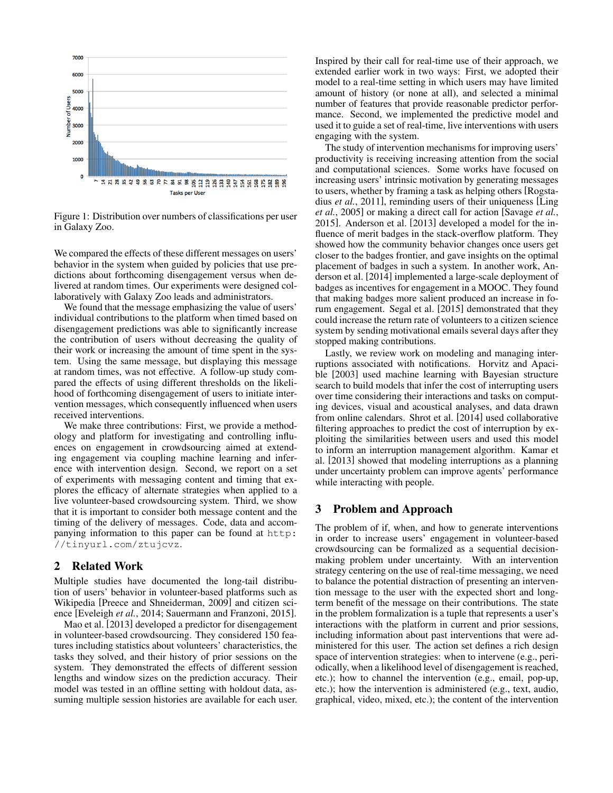

Figure 1: Distribution over numbers of classifications per user in Galaxy Zoo.

We compared the effects of these different messages on users' behavior in the system when guided by policies that use predictions about forthcoming disengagement versus when delivered at random times. Our experiments were designed collaboratively with Galaxy Zoo leads and administrators.

We found that the message emphasizing the value of users' individual contributions to the platform when timed based on disengagement predictions was able to significantly increase the contribution of users without decreasing the quality of their work or increasing the amount of time spent in the system. Using the same message, but displaying this message at random times, was not effective. A follow-up study compared the effects of using different thresholds on the likelihood of forthcoming disengagement of users to initiate intervention messages, which consequently influenced when users received interventions.

We make three contributions: First, we provide a methodology and platform for investigating and controlling influences on engagement in crowdsourcing aimed at extending engagement via coupling machine learning and inference with intervention design. Second, we report on a set of experiments with messaging content and timing that explores the efficacy of alternate strategies when applied to a live volunteer-based crowdsourcing system. Third, we show that it is important to consider both message content and the timing of the delivery of messages. Code, data and accompanying information to this paper can be found at http: //tinyurl.com/ztujcvz.

#### 2 Related Work

Multiple studies have documented the long-tail distribution of users' behavior in volunteer-based platforms such as Wikipedia [Preece and Shneiderman, 2009] and citizen science [Eveleigh *et al.*, 2014; Sauermann and Franzoni, 2015].

Mao et al. [2013] developed a predictor for disengagement in volunteer-based crowdsourcing. They considered 150 features including statistics about volunteers' characteristics, the tasks they solved, and their history of prior sessions on the system. They demonstrated the effects of different session lengths and window sizes on the prediction accuracy. Their model was tested in an offline setting with holdout data, assuming multiple session histories are available for each user. Inspired by their call for real-time use of their approach, we extended earlier work in two ways: First, we adopted their model to a real-time setting in which users may have limited amount of history (or none at all), and selected a minimal number of features that provide reasonable predictor performance. Second, we implemented the predictive model and used it to guide a set of real-time, live interventions with users engaging with the system.

The study of intervention mechanisms for improving users' productivity is receiving increasing attention from the social and computational sciences. Some works have focused on increasing users' intrinsic motivation by generating messages to users, whether by framing a task as helping others [Rogstadius *et al.*, 2011], reminding users of their uniqueness [Ling *et al.*, 2005] or making a direct call for action [Savage *et al.*, 2015]. Anderson et al. [2013] developed a model for the influence of merit badges in the stack-overflow platform. They showed how the community behavior changes once users get closer to the badges frontier, and gave insights on the optimal placement of badges in such a system. In another work, Anderson et al. [2014] implemented a large-scale deployment of badges as incentives for engagement in a MOOC. They found that making badges more salient produced an increase in forum engagement. Segal et al. [2015] demonstrated that they could increase the return rate of volunteers to a citizen science system by sending motivational emails several days after they stopped making contributions.

Lastly, we review work on modeling and managing interruptions associated with notifications. Horvitz and Apacible [2003] used machine learning with Bayesian structure search to build models that infer the cost of interrupting users over time considering their interactions and tasks on computing devices, visual and acoustical analyses, and data drawn from online calendars. Shrot et al. [2014] used collaborative filtering approaches to predict the cost of interruption by exploiting the similarities between users and used this model to inform an interruption management algorithm. Kamar et al. [2013] showed that modeling interruptions as a planning under uncertainty problem can improve agents' performance while interacting with people.

### 3 Problem and Approach

The problem of if, when, and how to generate interventions in order to increase users' engagement in volunteer-based crowdsourcing can be formalized as a sequential decisionmaking problem under uncertainty. With an intervention strategy centering on the use of real-time messaging, we need to balance the potential distraction of presenting an intervention message to the user with the expected short and longterm benefit of the message on their contributions. The state in the problem formalization is a tuple that represents a user's interactions with the platform in current and prior sessions, including information about past interventions that were administered for this user. The action set defines a rich design space of intervention strategies: when to intervene (e.g., periodically, when a likelihood level of disengagement is reached, etc.); how to channel the intervention (e.g., email, pop-up, etc.); how the intervention is administered (e.g., text, audio, graphical, video, mixed, etc.); the content of the intervention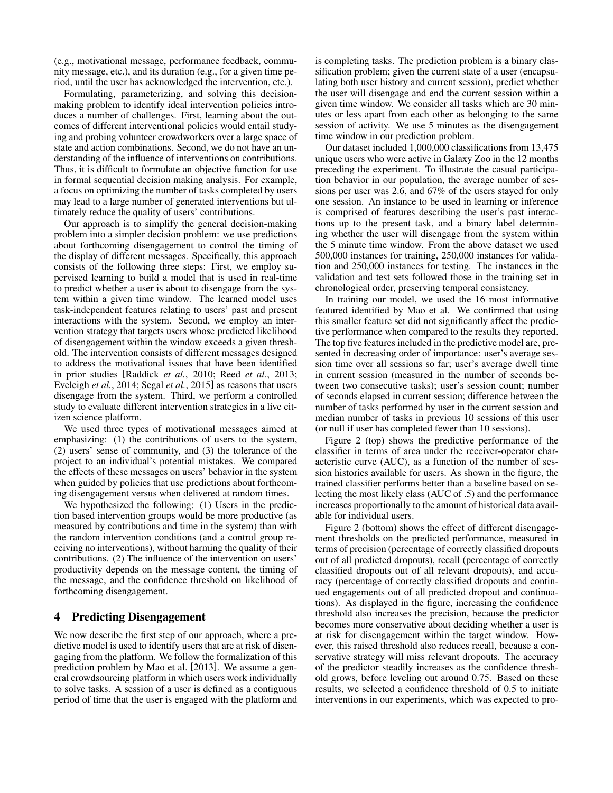(e.g., motivational message, performance feedback, community message, etc.), and its duration (e.g., for a given time period, until the user has acknowledged the intervention, etc.).

Formulating, parameterizing, and solving this decisionmaking problem to identify ideal intervention policies introduces a number of challenges. First, learning about the outcomes of different interventional policies would entail studying and probing volunteer crowdworkers over a large space of state and action combinations. Second, we do not have an understanding of the influence of interventions on contributions. Thus, it is difficult to formulate an objective function for use in formal sequential decision making analysis. For example, a focus on optimizing the number of tasks completed by users may lead to a large number of generated interventions but ultimately reduce the quality of users' contributions.

Our approach is to simplify the general decision-making problem into a simpler decision problem: we use predictions about forthcoming disengagement to control the timing of the display of different messages. Specifically, this approach consists of the following three steps: First, we employ supervised learning to build a model that is used in real-time to predict whether a user is about to disengage from the system within a given time window. The learned model uses task-independent features relating to users' past and present interactions with the system. Second, we employ an intervention strategy that targets users whose predicted likelihood of disengagement within the window exceeds a given threshold. The intervention consists of different messages designed to address the motivational issues that have been identified in prior studies [Raddick *et al.*, 2010; Reed *et al.*, 2013; Eveleigh *et al.*, 2014; Segal *et al.*, 2015] as reasons that users disengage from the system. Third, we perform a controlled study to evaluate different intervention strategies in a live citizen science platform.

We used three types of motivational messages aimed at emphasizing: (1) the contributions of users to the system, (2) users' sense of community, and (3) the tolerance of the project to an individual's potential mistakes. We compared the effects of these messages on users' behavior in the system when guided by policies that use predictions about forthcoming disengagement versus when delivered at random times.

We hypothesized the following: (1) Users in the prediction based intervention groups would be more productive (as measured by contributions and time in the system) than with the random intervention conditions (and a control group receiving no interventions), without harming the quality of their contributions. (2) The influence of the intervention on users' productivity depends on the message content, the timing of the message, and the confidence threshold on likelihood of forthcoming disengagement.

### 4 Predicting Disengagement

We now describe the first step of our approach, where a predictive model is used to identify users that are at risk of disengaging from the platform. We follow the formalization of this prediction problem by Mao et al. [2013]. We assume a general crowdsourcing platform in which users work individually to solve tasks. A session of a user is defined as a contiguous period of time that the user is engaged with the platform and is completing tasks. The prediction problem is a binary classification problem; given the current state of a user (encapsulating both user history and current session), predict whether the user will disengage and end the current session within a given time window. We consider all tasks which are 30 minutes or less apart from each other as belonging to the same session of activity. We use 5 minutes as the disengagement time window in our prediction problem.

Our dataset included 1,000,000 classifications from 13,475 unique users who were active in Galaxy Zoo in the 12 months preceding the experiment. To illustrate the casual participation behavior in our population, the average number of sessions per user was 2.6, and 67% of the users stayed for only one session. An instance to be used in learning or inference is comprised of features describing the user's past interactions up to the present task, and a binary label determining whether the user will disengage from the system within the 5 minute time window. From the above dataset we used 500,000 instances for training, 250,000 instances for validation and 250,000 instances for testing. The instances in the validation and test sets followed those in the training set in chronological order, preserving temporal consistency.

In training our model, we used the 16 most informative featured identified by Mao et al. We confirmed that using this smaller feature set did not significantly affect the predictive performance when compared to the results they reported. The top five features included in the predictive model are, presented in decreasing order of importance: user's average session time over all sessions so far; user's average dwell time in current session (measured in the number of seconds between two consecutive tasks); user's session count; number of seconds elapsed in current session; difference between the number of tasks performed by user in the current session and median number of tasks in previous 10 sessions of this user (or null if user has completed fewer than 10 sessions).

Figure 2 (top) shows the predictive performance of the classifier in terms of area under the receiver-operator characteristic curve (AUC), as a function of the number of session histories available for users. As shown in the figure, the trained classifier performs better than a baseline based on selecting the most likely class (AUC of .5) and the performance increases proportionally to the amount of historical data available for individual users.

Figure 2 (bottom) shows the effect of different disengagement thresholds on the predicted performance, measured in terms of precision (percentage of correctly classified dropouts out of all predicted dropouts), recall (percentage of correctly classified dropouts out of all relevant dropouts), and accuracy (percentage of correctly classified dropouts and continued engagements out of all predicted dropout and continuations). As displayed in the figure, increasing the confidence threshold also increases the precision, because the predictor becomes more conservative about deciding whether a user is at risk for disengagement within the target window. However, this raised threshold also reduces recall, because a conservative strategy will miss relevant dropouts. The accuracy of the predictor steadily increases as the confidence threshold grows, before leveling out around 0.75. Based on these results, we selected a confidence threshold of 0.5 to initiate interventions in our experiments, which was expected to pro-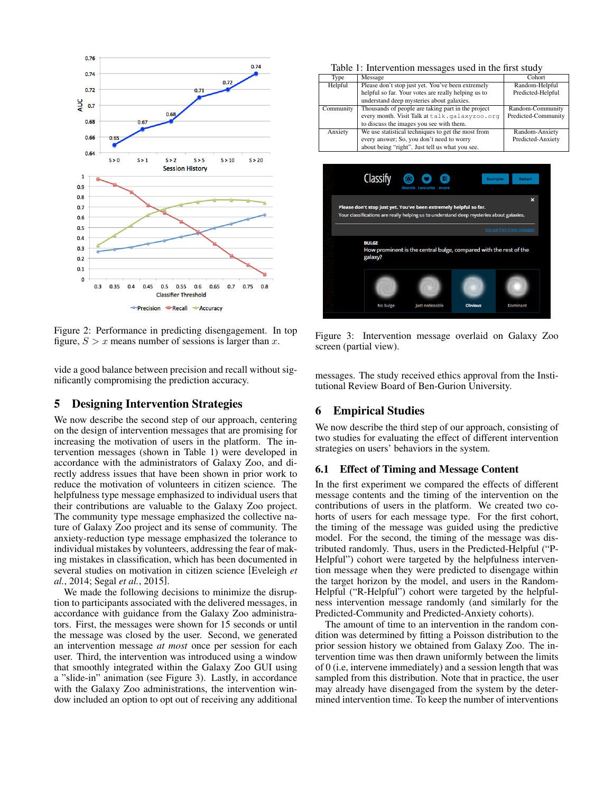

Figure 2: Performance in predicting disengagement. In top figure,  $S > x$  means number of sessions is larger than x.

vide a good balance between precision and recall without significantly compromising the prediction accuracy.

#### 5 Designing Intervention Strategies

We now describe the second step of our approach, centering on the design of intervention messages that are promising for increasing the motivation of users in the platform. The intervention messages (shown in Table 1) were developed in accordance with the administrators of Galaxy Zoo, and directly address issues that have been shown in prior work to reduce the motivation of volunteers in citizen science. The helpfulness type message emphasized to individual users that their contributions are valuable to the Galaxy Zoo project. The community type message emphasized the collective nature of Galaxy Zoo project and its sense of community. The anxiety-reduction type message emphasized the tolerance to individual mistakes by volunteers, addressing the fear of making mistakes in classification, which has been documented in several studies on motivation in citizen science [Eveleigh *et al.*, 2014; Segal *et al.*, 2015].

We made the following decisions to minimize the disruption to participants associated with the delivered messages, in accordance with guidance from the Galaxy Zoo administrators. First, the messages were shown for 15 seconds or until the message was closed by the user. Second, we generated an intervention message *at most* once per session for each user. Third, the intervention was introduced using a window that smoothly integrated within the Galaxy Zoo GUI using a "slide-in" animation (see Figure 3). Lastly, in accordance with the Galaxy Zoo administrations, the intervention window included an option to opt out of receiving any additional

| Type      | Message                                             | Cohort              |
|-----------|-----------------------------------------------------|---------------------|
| Helpful   | Please don't stop just yet. You've been extremely   | Random-Helpful      |
|           | helpful so far. Your votes are really helping us to | Predicted-Helpful   |
|           | understand deep mysteries about galaxies.           |                     |
| Community | Thousands of people are taking part in the project  | Random-Community    |
|           | every month. Visit Talk at talk. galaxyzoo.org      | Predicted-Community |
|           | to discuss the images you see with them.            |                     |
| Anxiety   | We use statistical techniques to get the most from  | Random-Anxiety      |
|           | every answer; So, you don't need to worry           | Predicted-Anxiety   |
|           | about being "right". Just tell us what you see.     |                     |



Figure 3: Intervention message overlaid on Galaxy Zoo screen (partial view).

messages. The study received ethics approval from the Institutional Review Board of Ben-Gurion University.

# 6 Empirical Studies

We now describe the third step of our approach, consisting of two studies for evaluating the effect of different intervention strategies on users' behaviors in the system.

#### 6.1 Effect of Timing and Message Content

In the first experiment we compared the effects of different message contents and the timing of the intervention on the contributions of users in the platform. We created two cohorts of users for each message type. For the first cohort, the timing of the message was guided using the predictive model. For the second, the timing of the message was distributed randomly. Thus, users in the Predicted-Helpful ("P-Helpful") cohort were targeted by the helpfulness intervention message when they were predicted to disengage within the target horizon by the model, and users in the Random-Helpful ("R-Helpful") cohort were targeted by the helpfulness intervention message randomly (and similarly for the Predicted-Community and Predicted-Anxiety cohorts).

The amount of time to an intervention in the random condition was determined by fitting a Poisson distribution to the prior session history we obtained from Galaxy Zoo. The intervention time was then drawn uniformly between the limits of 0 (i.e, intervene immediately) and a session length that was sampled from this distribution. Note that in practice, the user may already have disengaged from the system by the determined intervention time. To keep the number of interventions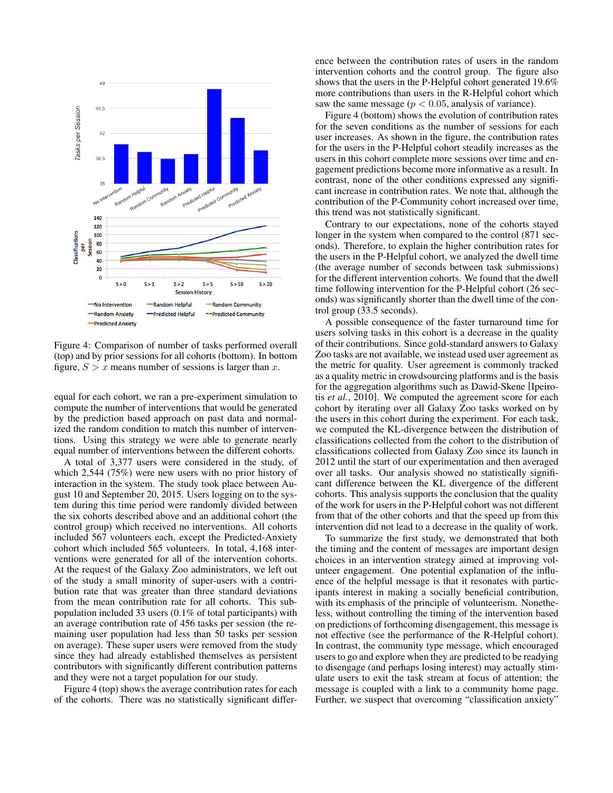

Figure 4: Comparison of number of tasks performed overall (top) and by prior sessions for all cohorts (bottom). In bottom figure,  $S > x$  means number of sessions is larger than x.

equal for each cohort, we ran a pre-experiment simulation to compute the number of interventions that would be generated by the prediction based approach on past data and normalized the random condition to match this number of interventions. Using this strategy we were able to generate nearly equal number of interventions between the different cohorts.

A total of 3,377 users were considered in the study, of which 2,544 (75%) were new users with no prior history of interaction in the system. The study took place between August 10 and September 20, 2015. Users logging on to the system during this time period were randomly divided between the six cohorts described above and an additional cohort (the control group) which received no interventions. All cohorts included 567 volunteers each, except the Predicted-Anxiety cohort which included 565 volunteers. In total, 4,168 interventions were generated for all of the intervention cohorts. At the request of the Galaxy Zoo administrators, we left out of the study a small minority of super-users with a contribution rate that was greater than three standard deviations from the mean contribution rate for all cohorts. This subpopulation included 33 users (0.1% of total participants) with an average contribution rate of 456 tasks per session (the remaining user population had less than 50 tasks per session on average). These super users were removed from the study since they had already established themselves as persistent contributors with significantly different contribution patterns and they were not a target population for our study.

Figure 4 (top) shows the average contribution rates for each of the cohorts. There was no statistically significant difference between the contribution rates of users in the random intervention cohorts and the control group. The figure also shows that the users in the P-Helpful cohort generated 19.6% more contributions than users in the R-Helpful cohort which saw the same message ( $p < 0.05$ , analysis of variance).

Figure 4 (bottom) shows the evolution of contribution rates for the seven conditions as the number of sessions for each user increases. As shown in the figure, the contribution rates for the users in the P-Helpful cohort steadily increases as the users in this cohort complete more sessions over time and engagement predictions become more informative as a result. In contrast, none of the other conditions expressed any significant increase in contribution rates. We note that, although the contribution of the P-Community cohort increased over time, this trend was not statistically significant.

Contrary to our expectations, none of the cohorts stayed longer in the system when compared to the control (871 seconds). Therefore, to explain the higher contribution rates for the users in the P-Helpful cohort, we analyzed the dwell time (the average number of seconds between task submissions) for the different intervention cohorts. We found that the dwell time following intervention for the P-Helpful cohort (26 seconds) was significantly shorter than the dwell time of the control group (33.5 seconds).

A possible consequence of the faster turnaround time for users solving tasks in this cohort is a decrease in the quality of their contributions. Since gold-standard answers to Galaxy Zoo tasks are not available, we instead used user agreement as the metric for quality. User agreement is commonly tracked as a quality metric in crowdsourcing platforms and is the basis for the aggregation algorithms such as Dawid-Skene [Ipeirotis *et al.*, 2010]. We computed the agreement score for each cohort by iterating over all Galaxy Zoo tasks worked on by the users in this cohort during the experiment. For each task, we computed the KL-divergence between the distribution of classifications collected from the cohort to the distribution of classifications collected from Galaxy Zoo since its launch in 2012 until the start of our experimentation and then averaged over all tasks. Our analysis showed no statistically significant difference between the KL divergence of the different cohorts. This analysis supports the conclusion that the quality of the work for users in the P-Helpful cohort was not different from that of the other cohorts and that the speed up from this intervention did not lead to a decrease in the quality of work.

To summarize the first study, we demonstrated that both the timing and the content of messages are important design choices in an intervention strategy aimed at improving volunteer engagement. One potential explanation of the influence of the helpful message is that it resonates with participants interest in making a socially beneficial contribution, with its emphasis of the principle of volunteerism. Nonetheless, without controlling the timing of the intervention based on predictions of forthcoming disengagement, this message is not effective (see the performance of the R-Helpful cohort). In contrast, the community type message, which encouraged users to go and explore when they are predicted to be readying to disengage (and perhaps losing interest) may actually stimulate users to exit the task stream at focus of attention; the message is coupled with a link to a community home page. Further, we suspect that overcoming "classification anxiety"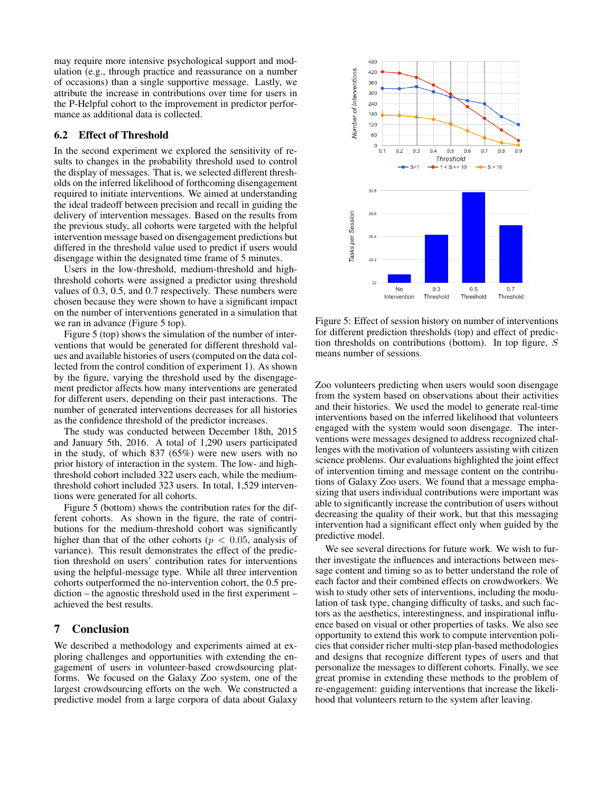may require more intensive psychological support and modulation (e.g., through practice and reassurance on a number of occasions) than a single supportive message. Lastly, we attribute the increase in contributions over time for users in the P-Helpful cohort to the improvement in predictor performance as additional data is collected.

### 6.2 Effect of Threshold

In the second experiment we explored the sensitivity of results to changes in the probability threshold used to control the display of messages. That is, we selected different thresholds on the inferred likelihood of forthcoming disengagement required to initiate interventions. We aimed at understanding the ideal tradeoff between precision and recall in guiding the delivery of intervention messages. Based on the results from the previous study, all cohorts were targeted with the helpful intervention message based on disengagement predictions but differed in the threshold value used to predict if users would disengage within the designated time frame of 5 minutes.

Users in the low-threshold, medium-threshold and highthreshold cohorts were assigned a predictor using threshold values of 0.3, 0.5, and 0.7 respectively. These numbers were chosen because they were shown to have a significant impact on the number of interventions generated in a simulation that we ran in advance (Figure 5 top).

Figure 5 (top) shows the simulation of the number of interventions that would be generated for different threshold values and available histories of users (computed on the data collected from the control condition of experiment 1). As shown by the figure, varying the threshold used by the disengagement predictor affects how many interventions are generated for different users, depending on their past interactions. The number of generated interventions decreases for all histories as the confidence threshold of the predictor increases.

The study was conducted between December 18th, 2015 and January 5th, 2016. A total of 1,290 users participated in the study, of which 837 (65%) were new users with no prior history of interaction in the system. The low- and highthreshold cohort included 322 users each, while the mediumthreshold cohort included 323 users. In total, 1,529 interventions were generated for all cohorts.

Figure 5 (bottom) shows the contribution rates for the different cohorts. As shown in the figure, the rate of contributions for the medium-threshold cohort was significantly higher than that of the other cohorts ( $p < 0.05$ , analysis of variance). This result demonstrates the effect of the prediction threshold on users' contribution rates for interventions using the helpful-message type. While all three intervention cohorts outperformed the no-intervention cohort, the 0.5 prediction – the agnostic threshold used in the first experiment – achieved the best results.

#### 7 Conclusion

We described a methodology and experiments aimed at exploring challenges and opportunities with extending the engagement of users in volunteer-based crowdsourcing platforms. We focused on the Galaxy Zoo system, one of the largest crowdsourcing efforts on the web. We constructed a predictive model from a large corpora of data about Galaxy



Figure 5: Effect of session history on number of interventions for different prediction thresholds (top) and effect of prediction thresholds on contributions (bottom). In top figure,  $S$ means number of sessions.

Zoo volunteers predicting when users would soon disengage from the system based on observations about their activities and their histories. We used the model to generate real-time interventions based on the inferred likelihood that volunteers engaged with the system would soon disengage. The interventions were messages designed to address recognized challenges with the motivation of volunteers assisting with citizen science problems. Our evaluations highlighted the joint effect of intervention timing and message content on the contributions of Galaxy Zoo users. We found that a message emphasizing that users individual contributions were important was able to significantly increase the contribution of users without decreasing the quality of their work, but that this messaging intervention had a significant effect only when guided by the predictive model.

We see several directions for future work. We wish to further investigate the influences and interactions between message content and timing so as to better understand the role of each factor and their combined effects on crowdworkers. We wish to study other sets of interventions, including the modulation of task type, changing difficulty of tasks, and such factors as the aesthetics, interestingness, and inspirational influence based on visual or other properties of tasks. We also see opportunity to extend this work to compute intervention policies that consider richer multi-step plan-based methodologies and designs that recognize different types of users and that personalize the messages to different cohorts. Finally, we see great promise in extending these methods to the problem of re-engagement: guiding interventions that increase the likelihood that volunteers return to the system after leaving.